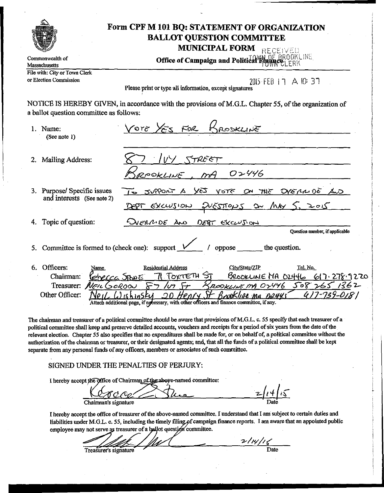|                                                                       | <b>MUNICIPAL FORM</b> RECEIVED                                                                                                                                                                                                                                                                                                                                                           |
|-----------------------------------------------------------------------|------------------------------------------------------------------------------------------------------------------------------------------------------------------------------------------------------------------------------------------------------------------------------------------------------------------------------------------------------------------------------------------|
| Commonwealth of<br>Massachusetts                                      | Office of Campaign and Political Emance. Four ME                                                                                                                                                                                                                                                                                                                                         |
| File with: City or Town Clerk<br>or Election Commission               | 2015 FEB 17 A 10: 37<br>Please print or type all information, except signatures                                                                                                                                                                                                                                                                                                          |
| a ballot question committee as follows:                               | NOTICE IS HEREBY GIVEN, in accordance with the provisions of M.G.L. Chapter 55, of the organization of                                                                                                                                                                                                                                                                                   |
| 1. Name:<br>(See note 1)                                              | VOTO YES FOR BROSKLINE                                                                                                                                                                                                                                                                                                                                                                   |
| 2. Mailing Address:                                                   | $IVY$ STREET<br>ROOKLINE, MA 02446                                                                                                                                                                                                                                                                                                                                                       |
| 3. Purpose/ Specific issues<br>and interests (See note 2)             | CUA 30 MAJOR SITY OF 3TOY CAY A TAOPPOC OT<br>DEPT EXCUSION EVESTIONS ON MAY 5, 2015                                                                                                                                                                                                                                                                                                     |
| 4. Topic of question:                                                 | <u>EVERNOE AND DEBT EXCUUSION</u><br>Ouestion number, if applicable                                                                                                                                                                                                                                                                                                                      |
|                                                                       | 5. Committee is formed to (check one): support $\frac{1}{\sqrt{1-\frac{1}{n}}}$ / oppose _______ the question.                                                                                                                                                                                                                                                                           |
| 6. Officers:<br>Name<br>Reherra Sino E<br>Chairman:<br>Other Officer: | <u>Tel. No.</u><br><b>Residential Address</b><br>City/State/ZIP<br>$71$ TokTETH $S_{\overline{1}}$<br>BROOKLINE MA OZ446 617.278.9220<br>Treasurer: NEIL GOROON 87 / UT 5+ BROOKLING MA 02446 508 265 1362<br>$20$ Henry.<br>$417 - 739 - 0181$<br>St Brookline ma 02445<br><u>Jishinski</u><br>Attach additional page, if necessary, with other officers and finance committee, if any. |

relevant election. Chapter 55 also specifies that no expenditures shall be made for, or on behalf of, a political committee without the authorization of the chairman or treasurer, or their designated agents; and, that all the funds of a political committee shall be kept separate from any personal funds of any officers, members or associates of such committee.

SIGNED UNDER THE PENALTIES OF PERJURY:

I hereby accept the Office of Chairman of the above-named committee:

 $\frac{z}{\sqrt{1+iz}}$ Chairman's signature

I hereby accept the office of treasurer of the above-named committee. I understand that I am subject to certain duties and liabilities under M.G.L. c. 55, including the timely filing of campaign finance reports. I am aware that an appointed public employee may not serve as treasurer of a ballot question committee.

 $\frac{2/14/16}{\text{Date}}$ Treasurer's signature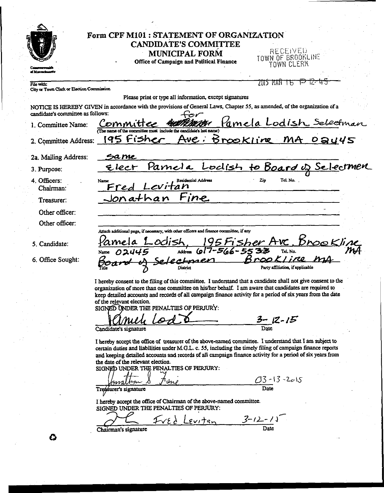| <b>CANDIDATE'S COMMITTEE</b>                                                                                               |                                                                                                                                                                                                                                                                                                                                                                                                                                                                                                                                                                                                                                                                                                                                                                                                                                                                                                                    |
|----------------------------------------------------------------------------------------------------------------------------|--------------------------------------------------------------------------------------------------------------------------------------------------------------------------------------------------------------------------------------------------------------------------------------------------------------------------------------------------------------------------------------------------------------------------------------------------------------------------------------------------------------------------------------------------------------------------------------------------------------------------------------------------------------------------------------------------------------------------------------------------------------------------------------------------------------------------------------------------------------------------------------------------------------------|
| <b>MUNICIPAL FORM</b>                                                                                                      | RECEIVED                                                                                                                                                                                                                                                                                                                                                                                                                                                                                                                                                                                                                                                                                                                                                                                                                                                                                                           |
| Office of Campaign and Political Finance                                                                                   | TOWN OF BROOKLINE<br>TOWN CLERK                                                                                                                                                                                                                                                                                                                                                                                                                                                                                                                                                                                                                                                                                                                                                                                                                                                                                    |
|                                                                                                                            |                                                                                                                                                                                                                                                                                                                                                                                                                                                                                                                                                                                                                                                                                                                                                                                                                                                                                                                    |
|                                                                                                                            | 700 MAN T6<br>स्ट                                                                                                                                                                                                                                                                                                                                                                                                                                                                                                                                                                                                                                                                                                                                                                                                                                                                                                  |
| City or Town Clerk or Election Commission                                                                                  |                                                                                                                                                                                                                                                                                                                                                                                                                                                                                                                                                                                                                                                                                                                                                                                                                                                                                                                    |
| Please print or type all information, except signatures                                                                    |                                                                                                                                                                                                                                                                                                                                                                                                                                                                                                                                                                                                                                                                                                                                                                                                                                                                                                                    |
| NOTICE IS HEREBY GIVEN in accordance with the provisions of General Laws, Chapter 55, as amended, of the organization of a |                                                                                                                                                                                                                                                                                                                                                                                                                                                                                                                                                                                                                                                                                                                                                                                                                                                                                                                    |
|                                                                                                                            |                                                                                                                                                                                                                                                                                                                                                                                                                                                                                                                                                                                                                                                                                                                                                                                                                                                                                                                    |
|                                                                                                                            | <u>Pamela Lodish Selectman</u>                                                                                                                                                                                                                                                                                                                                                                                                                                                                                                                                                                                                                                                                                                                                                                                                                                                                                     |
|                                                                                                                            |                                                                                                                                                                                                                                                                                                                                                                                                                                                                                                                                                                                                                                                                                                                                                                                                                                                                                                                    |
|                                                                                                                            |                                                                                                                                                                                                                                                                                                                                                                                                                                                                                                                                                                                                                                                                                                                                                                                                                                                                                                                    |
|                                                                                                                            |                                                                                                                                                                                                                                                                                                                                                                                                                                                                                                                                                                                                                                                                                                                                                                                                                                                                                                                    |
|                                                                                                                            |                                                                                                                                                                                                                                                                                                                                                                                                                                                                                                                                                                                                                                                                                                                                                                                                                                                                                                                    |
|                                                                                                                            |                                                                                                                                                                                                                                                                                                                                                                                                                                                                                                                                                                                                                                                                                                                                                                                                                                                                                                                    |
| Residential Address<br>Name                                                                                                | Tel. No.<br>Zip                                                                                                                                                                                                                                                                                                                                                                                                                                                                                                                                                                                                                                                                                                                                                                                                                                                                                                    |
|                                                                                                                            |                                                                                                                                                                                                                                                                                                                                                                                                                                                                                                                                                                                                                                                                                                                                                                                                                                                                                                                    |
|                                                                                                                            |                                                                                                                                                                                                                                                                                                                                                                                                                                                                                                                                                                                                                                                                                                                                                                                                                                                                                                                    |
|                                                                                                                            |                                                                                                                                                                                                                                                                                                                                                                                                                                                                                                                                                                                                                                                                                                                                                                                                                                                                                                                    |
|                                                                                                                            |                                                                                                                                                                                                                                                                                                                                                                                                                                                                                                                                                                                                                                                                                                                                                                                                                                                                                                                    |
|                                                                                                                            |                                                                                                                                                                                                                                                                                                                                                                                                                                                                                                                                                                                                                                                                                                                                                                                                                                                                                                                    |
|                                                                                                                            |                                                                                                                                                                                                                                                                                                                                                                                                                                                                                                                                                                                                                                                                                                                                                                                                                                                                                                                    |
|                                                                                                                            | <u>Drookline</u>                                                                                                                                                                                                                                                                                                                                                                                                                                                                                                                                                                                                                                                                                                                                                                                                                                                                                                   |
|                                                                                                                            | mА<br>Tel. No.                                                                                                                                                                                                                                                                                                                                                                                                                                                                                                                                                                                                                                                                                                                                                                                                                                                                                                     |
|                                                                                                                            | Brookline                                                                                                                                                                                                                                                                                                                                                                                                                                                                                                                                                                                                                                                                                                                                                                                                                                                                                                          |
|                                                                                                                            | Party affiliation, if applicable                                                                                                                                                                                                                                                                                                                                                                                                                                                                                                                                                                                                                                                                                                                                                                                                                                                                                   |
| I hereby consent to the filing of this committee. I understand that a candidate shall not give consent to the              |                                                                                                                                                                                                                                                                                                                                                                                                                                                                                                                                                                                                                                                                                                                                                                                                                                                                                                                    |
| organization of more than one committee on his/her behalf. I am aware that candidates are required to                      |                                                                                                                                                                                                                                                                                                                                                                                                                                                                                                                                                                                                                                                                                                                                                                                                                                                                                                                    |
|                                                                                                                            |                                                                                                                                                                                                                                                                                                                                                                                                                                                                                                                                                                                                                                                                                                                                                                                                                                                                                                                    |
|                                                                                                                            |                                                                                                                                                                                                                                                                                                                                                                                                                                                                                                                                                                                                                                                                                                                                                                                                                                                                                                                    |
|                                                                                                                            |                                                                                                                                                                                                                                                                                                                                                                                                                                                                                                                                                                                                                                                                                                                                                                                                                                                                                                                    |
|                                                                                                                            | $3 - 12 - 15$                                                                                                                                                                                                                                                                                                                                                                                                                                                                                                                                                                                                                                                                                                                                                                                                                                                                                                      |
| Candidate's signature                                                                                                      | Date                                                                                                                                                                                                                                                                                                                                                                                                                                                                                                                                                                                                                                                                                                                                                                                                                                                                                                               |
|                                                                                                                            |                                                                                                                                                                                                                                                                                                                                                                                                                                                                                                                                                                                                                                                                                                                                                                                                                                                                                                                    |
|                                                                                                                            |                                                                                                                                                                                                                                                                                                                                                                                                                                                                                                                                                                                                                                                                                                                                                                                                                                                                                                                    |
| and keeping detailed accounts and records of all campaign finance activity for a period of six years from                  |                                                                                                                                                                                                                                                                                                                                                                                                                                                                                                                                                                                                                                                                                                                                                                                                                                                                                                                    |
|                                                                                                                            |                                                                                                                                                                                                                                                                                                                                                                                                                                                                                                                                                                                                                                                                                                                                                                                                                                                                                                                    |
| the date of the relevant election.                                                                                         |                                                                                                                                                                                                                                                                                                                                                                                                                                                                                                                                                                                                                                                                                                                                                                                                                                                                                                                    |
| SIGNED UNDER THE PENALTIES OF PERJURY:                                                                                     |                                                                                                                                                                                                                                                                                                                                                                                                                                                                                                                                                                                                                                                                                                                                                                                                                                                                                                                    |
|                                                                                                                            |                                                                                                                                                                                                                                                                                                                                                                                                                                                                                                                                                                                                                                                                                                                                                                                                                                                                                                                    |
| $\pi$ ını                                                                                                                  | $03 - 13 - 2015$<br>Date                                                                                                                                                                                                                                                                                                                                                                                                                                                                                                                                                                                                                                                                                                                                                                                                                                                                                           |
| Treasurer's signature                                                                                                      |                                                                                                                                                                                                                                                                                                                                                                                                                                                                                                                                                                                                                                                                                                                                                                                                                                                                                                                    |
| I hereby accept the office of Chairman of the above-named committee.                                                       |                                                                                                                                                                                                                                                                                                                                                                                                                                                                                                                                                                                                                                                                                                                                                                                                                                                                                                                    |
| SIGNED UNDER THE PENALTIES OF PERJURY:<br>$I$ $Vf \lambda$ Levitan                                                         | $3 - 12 - 15$                                                                                                                                                                                                                                                                                                                                                                                                                                                                                                                                                                                                                                                                                                                                                                                                                                                                                                      |
|                                                                                                                            | Form CPF M101: STATEMENT OF ORGANIZATION<br>candidate's committee as follows:<br>Committee<br>(The name of the committee must include the candidate's last name)<br><u>Ave: Brookline MA Day45</u><br>2. Committee Address: 195 Fisher<br>Same<br><u>Elect Parnela Lodish to Board of Selectmen</u><br>Fred Levitan<br>Jonathan Fine<br>Attach additional page, if necessary, with other officers and finance committee, if any<br>95Fisher Ave<br>Address 617-566-553<br>Name $02445$<br>Selectmen<br>keep detailed accounts and records of all campaign finance activity for a period of six years from the date<br>of the relevant election.<br>SIGNED UNDER THE PENALTIES OF PERJURY:<br>I hereby accept the office of treasurer of the above-named committee. I understand that I am subject to<br>certain duties and liabilities under M.G.L. c. 55, including the timely filing of campaign finance reports |

Date

Chairman's signature

 $\ddot{\phantom{0}}$ 

 $\bullet$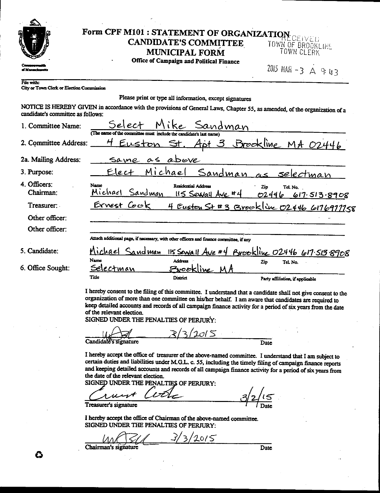| 相复                                                      | Form CPF M101 : STATEMENT OF ORGANIZATION<br><b>CANDIDATE'S COMMITTEE</b><br><b>MUNICIPAL FORM</b>                         | TOWN OF BROOKLINE<br>TOWN CLERK                |
|---------------------------------------------------------|----------------------------------------------------------------------------------------------------------------------------|------------------------------------------------|
|                                                         | Office of Campaign and Political Finance                                                                                   | 2015 MAR - 3 $A$ 9 U 3                         |
| File with:<br>City or Town Clerk or Election Commission |                                                                                                                            |                                                |
|                                                         | Please print or type all information, except signatures                                                                    |                                                |
| candidate's committee as follows:                       | NOTICE IS HEREBY GIVEN in accordance with the provisions of General Laws, Chapter 55, as amended, of the organization of a |                                                |
| 1. Committee Name:                                      | Select<br>Sandman<br>(The name of the committee must include the candidate's last name                                     |                                                |
| 2. Committee Address:                                   | Euston<br>St.                                                                                                              | <u>Apt 3 Brockline MA 02446</u>                |
| 2a. Mailing Address:                                    | as above<br>Same                                                                                                           |                                                |
| 3. Purpose:                                             | Michael<br>Sandman<br><u>Elect</u>                                                                                         | <u>selectman</u><br>$\sim$                     |
| 4. Officers:<br>Chairman:                               | Name<br>Residential Address<br>Michael<br>Sandman<br>115 Sewall Ave #4                                                     | Tel. No.<br>Zio<br>02446<br>617.513.8908       |
| Treasurer:                                              | Ernest Cook                                                                                                                | 4 Eusten St #3 Brookline 02446 6176977758      |
| Other officer:                                          |                                                                                                                            |                                                |
| Other officer:                                          |                                                                                                                            |                                                |
|                                                         | Attach additional page, if necessary, with other officers and finance committee, if any                                    |                                                |
| 5. Candidate:                                           | Michael<br>Sandman<br>Name<br>Address                                                                                      | 115 Sewall Ave #4 Brookline 02446 617.513.8908 |
| 6. Office Sought:                                       | Selectman<br>Prook<br>line                                                                                                 | Tel. No.<br>Zip                                |
|                                                         | Title<br>District                                                                                                          | Party affiliation, if applicable               |

SIGNED UNDER THE PENALTIES OF PERJURY:

Candidate's signature

Date

I hereby accept the office of treasurer of the above-named committee. I understand that I am subject to certain duties and liabilities under M.G.L. c. 55, including the timely filing of campaign finance reports and keeping detailed accounts and records of all campaign finance activity for a period of six years from the date of the relevant election.

 $\omega$   $\leq$ 

SIGNED UNDER THE PENALTIES OF PERJURY:

Treasurer's signature Date

I hereby accept the office of Chairman of the above-named committee. SIGNED UNDER THE PENALTIES OF PERJURY:

 $2015$ 3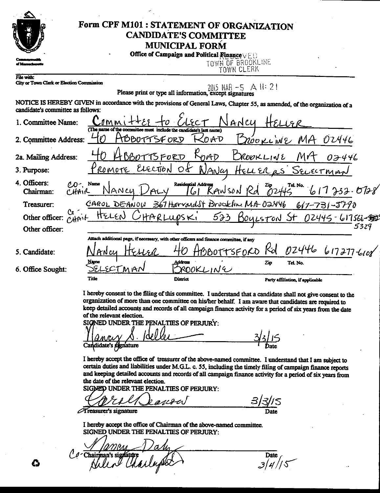

# Form CPF M101 : STATEMENT OF ORGANIZATION **CANDIDATE'S COMMITTEE MUNICIPAL FORM**

|  |  |  |  | Office of Campaign and Political Finance $\vee \vdash \vdash$ |
|--|--|--|--|---------------------------------------------------------------|
|--|--|--|--|---------------------------------------------------------------|

TOWN OF BROOKLINE

File with: City or Town Clerk or Election Commission TOWN CLERK

2015 MAR -5 A II: 21 Please print or type all information, except signatures

NOTICE IS HEREBY GIVEN in accordance with the provisions of General Laws, Chapter 55, as amended, of the organization of a candidate's committee as follows:  $\mathcal{C}$  $\cdot$  f  $\cdot$  1  $x = 1 - 1$ 

| 1. Committee Name:                                  | Nancu<br>.0MM                                                                           |
|-----------------------------------------------------|-----------------------------------------------------------------------------------------|
|                                                     | (The name of the committee must include the candidate's last name)                      |
| 2. Committee Address:                               | HBBOTTSFORD<br>KOAD<br>BROOKLINE MA 02446                                               |
| 2a. Mailing Address:                                | $K_{\theta A\theta}$<br>BBOTTSFORD<br>DROOKLINE<br>02446                                |
| 3. Purpose:                                         | ROMOTE ELECTION OF NANCY HELLER as SELECTMAN                                            |
| 4. Officers:<br>$CO^-$ , Name<br>CHAIR<br>Chairman: | NANCY DALY Residential Address RANSON Rd 21p Tel. No. 61733.078                         |
| Treasurer:                                          | CAROL DEANOW 367 Harvardst Brookhu MA 02446 617-731-5790                                |
|                                                     | Other officer: CAPOIL HELEN CHARLUPSKI 523 BOYLSTON St 02445-617566-5                   |
| Other officer:                                      | 5329                                                                                    |
|                                                     | Attach additional page, if necessary, with other officers and finance committee, if any |
| 5. Candidate:                                       | BBOTTSFORD Rd<br>024466172776108<br>EHER                                                |
| 6. Office Sought:                                   | Address<br>Zip<br>Tel. No.<br>ROOKLIN<br>MAN                                            |

I hereby consent to the filing of this committee. I understand that a candidate shall not give consent to the organization of more than one committee on his/her behalf. I am aware that candidates are required to keep detailed accounts and records of all campaign finance activity for a period of six years from the date of the relevant election.

SIGNED UNDER THE PENALTIES OF PERJURY: Candidate's signature

District

I hereby accept the office of treasurer of the above-named committee. I understand that I am subject to certain duties and liabilities under M.G.L. c. 55, including the timely filing of campaign finance reports and keeping detailed accounts and records of all campaign finance activity for a period of six years from the date of the relevant election.

SIGNED UNDER THE PENALTIES OF PERJURY:

ano **Treasurer's signature** 

I hereby accept the office of Chairman of the above-named committee. SIGNED UNDER THE PENALTIES OF PERJURY:

avere de *( O -* Chairman

Title

Date<br> $3/4/5$ 

Party affiliation, if applicable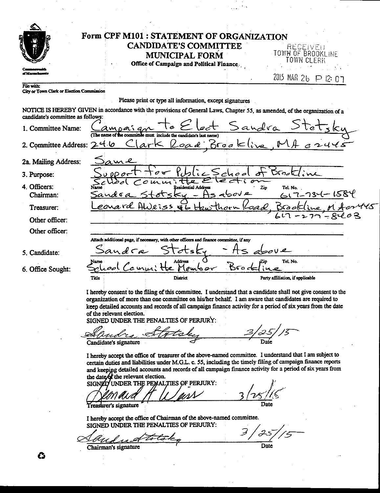|                                                        | Form CPF M101 : STATEMENT OF ORGANIZATION<br><b>CANDIDATE'S COMMITTEE</b><br><b>MUNICIPAL FORM</b><br>Office of Campaign and Political Finance.                                                                                                                                                                                                                    | RECEIVEU<br>TOWN OF BROOKLINE<br>TOWN CLERK |
|--------------------------------------------------------|--------------------------------------------------------------------------------------------------------------------------------------------------------------------------------------------------------------------------------------------------------------------------------------------------------------------------------------------------------------------|---------------------------------------------|
|                                                        |                                                                                                                                                                                                                                                                                                                                                                    | 2015 MAR 26 P 12: 07                        |
| ile with:<br>City or Town Clerk or Election Commission |                                                                                                                                                                                                                                                                                                                                                                    |                                             |
|                                                        | Please print or type all information, except signatures                                                                                                                                                                                                                                                                                                            |                                             |
| candidate's committee as follows:                      | NOTICE IS HEREBY GIVEN in accordance with the provisions of General Laws, Chapter 55, as amended, of the organization of a                                                                                                                                                                                                                                         |                                             |
| 1. Committee Name:                                     | be committee must include the candidate's last name)                                                                                                                                                                                                                                                                                                               | Lect Sandra Stet                            |
| 2. Committee Address: 246                              | ark Road Brookline MA                                                                                                                                                                                                                                                                                                                                              |                                             |
| 2a. Mailing Address:                                   | ame                                                                                                                                                                                                                                                                                                                                                                |                                             |
| 3. Purpose:                                            |                                                                                                                                                                                                                                                                                                                                                                    | Drack                                       |
| 1. Officers:<br>Chairman:                              | <b>Residential Address</b><br>بمايرين<br>sand ra                                                                                                                                                                                                                                                                                                                   | Zip<br>Tel. No.<br>$617 - 734 - 1584$       |
| Treasurer:                                             | earard AWeiss with Haw                                                                                                                                                                                                                                                                                                                                             |                                             |
| Other officer:                                         |                                                                                                                                                                                                                                                                                                                                                                    |                                             |
| Other officer:                                         |                                                                                                                                                                                                                                                                                                                                                                    |                                             |
|                                                        | Attach additional page, if necessary, with other officers and finance committee, if any                                                                                                                                                                                                                                                                            |                                             |
| 5. Candidate:                                          | sandca                                                                                                                                                                                                                                                                                                                                                             |                                             |
| 5. Office Sought:                                      | س ہے جا                                                                                                                                                                                                                                                                                                                                                            | Tel. No.<br>Brod                            |
|                                                        | Title<br>District                                                                                                                                                                                                                                                                                                                                                  | Party affiliation, if applicable            |
|                                                        | I hereby consent to the filing of this committee. I understand that a candidate shall not give consent to the<br>organization of more than one committee on his/her behalf. I am aware that candidates are required to<br>keep detailed accounts and records of all campaign finance activity for a period of six years from the date<br>of the relevant election. |                                             |
|                                                        | SIGNED UNDER THE PENALTIES OF PERJURY:                                                                                                                                                                                                                                                                                                                             |                                             |

| لا≫<br>indre          | take |  |
|-----------------------|------|--|
| Candidate's signature |      |  |

I hereby accept the office of treasurer of the above-named committee. I understand that I am subject to certain duties and liabilities under M.G.L. c. 55, including the timely filing of campaign finance reports and keeping detailed accounts and records of all campaign finance activity for a period of six years from the date of the relevant election.

SIGNED UNDER THE PEMALTIES OF PERJURY: Treasurer's signature Date

I hereby accept the office of Chairman of the above-named committee. SIGNED UNDER THE PENALTIES OF PERJURY:

3 Z. -a Date

**GEORG**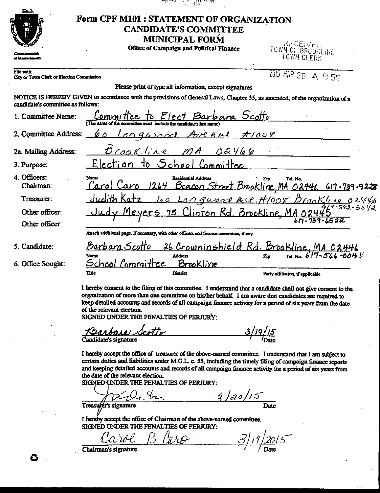|                                                         | <b>CANDIDATE'S COMMITTEE</b><br><b>MUNICIPAL FORM</b><br><b>Office of Campaign and Political Finance</b>                   | RECEIVED<br>TOWN OF BROOKLINE<br>TOWN CLERK    |
|---------------------------------------------------------|----------------------------------------------------------------------------------------------------------------------------|------------------------------------------------|
| File with:<br>City or Town Clerk or Election Commission |                                                                                                                            | $2015$ MAR 20 A 9:55                           |
|                                                         | Please print or type all information, except signatures                                                                    |                                                |
| candidate's committee as follows:                       | NOTICE IS HEREBY GIVEN in accordance with the provisions of General Laws, Chapter 55, as amended, of the organization of a |                                                |
| 1. Committee Name:                                      | <u>bara Scotto</u><br>(The name of the committee must include the candidate's last name)                                   |                                                |
| 2. Committee Address:                                   | Fve ki<br>on quooc                                                                                                         | $\#$ /oo $\chi$                                |
| 2a. Mailing Address:                                    | rookline<br>02466                                                                                                          |                                                |
| 3. Purpose:                                             | Committee<br>lection.<br>Ochool                                                                                            |                                                |
| 4. Officers:<br>Chairman:                               | <b>Residential Address</b><br>Name<br>$\lfloor \text{arg} \rfloor$<br><u>Beacon Street Brookline.MA</u>                    | Tel. No.<br>Zio<br>O244L<br>$617 - 739 - 9228$ |
| Treasurer:                                              |                                                                                                                            | Longwood Ave. #1008 Drookline 02446            |
| Other officer:                                          | evers<br>Kd.<br>TON                                                                                                        | Brookline.                                     |
|                                                         |                                                                                                                            |                                                |
| Other officer:                                          | Attach additional page, if necessary, with other officers and finance committee, if any                                    |                                                |
|                                                         |                                                                                                                            |                                                |
| 5. Candidate:                                           | Barbara<br><u>26 Crowninshield Rd.</u><br><b>Address</b><br>Name                                                           | Brookline<br>Tel. No. 617-566-004 V<br>Zio     |

SIGNED UNDER THE PENALTIES OF PERJURY:

 $\frac{3/19/15}{\sqrt{2}}$ cotto <u>Jarbara</u> Candidate's signature

I hereby accept the office of treasurer of the above-named committee. I understand that I am subject to certain duties and liabilities under M.G.L. c. 55, including the timely filing of campaign finance reports and keeping detailed accounts and records of all campaign finance activity for a period of six years from the date of the relevant election.

SIGNED UNDER THE PENALTIES OF PERJURY:

 $\frac{1}{2}$   $\frac{1}{20}$   $\frac{1}{5}$  $\overline{Date}$ Treasurer's signature

I hereby accept the office of Chairman of the above-named committee. SIGNED UNDER THE PENALTIES OF PERJURY:

2015  $^-$ Chairman's signature

G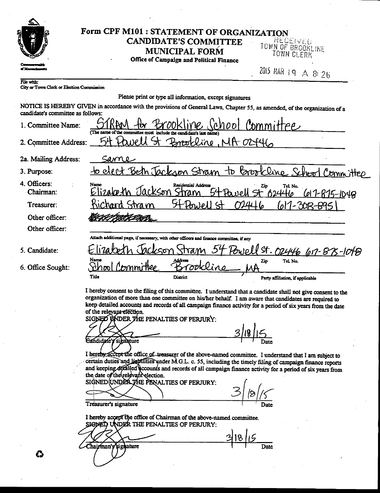|                                                         | Form CPF M101 : STATEMENT OF ORGANIZATION                                                                                                                                                                                                                                                                                                                                                                                            |                                             |
|---------------------------------------------------------|--------------------------------------------------------------------------------------------------------------------------------------------------------------------------------------------------------------------------------------------------------------------------------------------------------------------------------------------------------------------------------------------------------------------------------------|---------------------------------------------|
|                                                         | <b>CANDIDATE'S COMMITTEE</b><br><b>MUNICIPAL FORM</b><br>Office of Campaign and Political Finance                                                                                                                                                                                                                                                                                                                                    | RECEIVED<br>TOWN OF BROOKLINE<br>TOWN CLERK |
|                                                         |                                                                                                                                                                                                                                                                                                                                                                                                                                      | 2015 MAR 19 A 8 26                          |
| File with:<br>City or Town Clerk or Election Commission |                                                                                                                                                                                                                                                                                                                                                                                                                                      |                                             |
|                                                         | Please print or type all information, except signatures                                                                                                                                                                                                                                                                                                                                                                              |                                             |
| candidate's committee as follows:                       | NOTICE IS HEREBY GIVEN in accordance with the provisions of General Laws, Chapter 55, as amended, of the organization of a                                                                                                                                                                                                                                                                                                           |                                             |
| 1. Committee Name:                                      | (chool<br>The name of the<br>committee must<br>include the candidate's last name)                                                                                                                                                                                                                                                                                                                                                    | Committee                                   |
| 2. Committee Address:                                   | Brookline, MA 02446<br>10                                                                                                                                                                                                                                                                                                                                                                                                            |                                             |
| 2a. Mailing Address:                                    | Same                                                                                                                                                                                                                                                                                                                                                                                                                                 |                                             |
| 3. Purpose:                                             | h Jackson Stram<br><b>by</b><br>$\tau$                                                                                                                                                                                                                                                                                                                                                                                               | <u>Committee</u>                            |
| 4. Officers:<br>Chairman:                               | Name<br>Residential Address<br>CKSOY                                                                                                                                                                                                                                                                                                                                                                                                 | Tel. No.<br>6244<br><u>617-875-1048</u>     |
| Treasurer:                                              | stra m<br>Anlo                                                                                                                                                                                                                                                                                                                                                                                                                       | $n!/$ - $208-$                              |
| Other officer:                                          |                                                                                                                                                                                                                                                                                                                                                                                                                                      |                                             |
| Other officer:                                          |                                                                                                                                                                                                                                                                                                                                                                                                                                      |                                             |
|                                                         | Attach additional page, if necessary, with other officers and finance committee, if any                                                                                                                                                                                                                                                                                                                                              |                                             |
| 5. Candidate:                                           | 52                                                                                                                                                                                                                                                                                                                                                                                                                                   | St. 02446 617-875-1048                      |
| 6. Office Sought:                                       | Name<br>המר                                                                                                                                                                                                                                                                                                                                                                                                                          | Tel. No.<br>Zip                             |
|                                                         | Title<br>District                                                                                                                                                                                                                                                                                                                                                                                                                    | Party affiliation, if applicable            |
|                                                         | I hereby consent to the filing of this committee. I understand that a candidate shall not give consent to the<br>organization of more than one committee on his/her behalf. I am aware that candidates are required to<br>keep detailed accounts and records of all campaign finance activity for a period of six years from the date<br>of the relevant election.<br>SIGNED WADER THE PENALTIES OF PERJURY.<br>Indidate's signature |                                             |
|                                                         | I hereby accept the office of treasurer of the above-named committee. I understand that I am subject to<br>certain duties and liabilities under M.G.L. c. 55, including the timely filing of campaign finance reports<br>and keeping defailed accounts and records of all campaign finance activity for a period of six years from                                                                                                   |                                             |
|                                                         | the date of the relevant election.<br>SIGNED (UNDER THE PENALTIES OF PERJURY:                                                                                                                                                                                                                                                                                                                                                        |                                             |
|                                                         | Treasurer's signature<br>I hereby accept the office of Chairman of the above-named committee.<br>SIGNED UNDER THE PENALTIES OF PERJURY:                                                                                                                                                                                                                                                                                              |                                             |
|                                                         | Chairman's sighanire                                                                                                                                                                                                                                                                                                                                                                                                                 |                                             |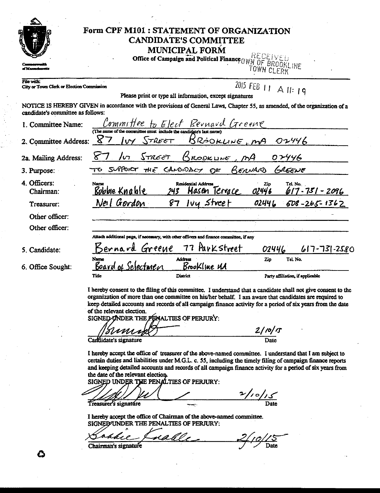|                                                         | <b>MUNICIPAL FORM</b><br>MUNICIPAL A COMPARE FINANCE Of Campaign and Political Finance OWN OF BROOKLINE                               |
|---------------------------------------------------------|---------------------------------------------------------------------------------------------------------------------------------------|
|                                                         |                                                                                                                                       |
| File with:<br>City or Town Clerk or Election Commission | 2015 FEB 11 A 11:19<br>Please print or type all information, except signatures                                                        |
| candidate's committee as follows:                       | NOTICE IS HEREBY GIVEN in accordance with the provisions of General Laws, Chapter 55, as amended, of the organization of a            |
| 1. Committee Name:                                      | Committee to Elect Revnavd Greene                                                                                                     |
| 2. Committee Address:                                   | $8-$<br>BROOKLINE, MA<br>$IVY$ STREET<br>01446                                                                                        |
| 2a. Mailing Address:                                    | <i>STREET</i><br>BROOKLINE<br>$\sqrt{2}$<br>07446                                                                                     |
| 3. Purpose:                                             | SUPPORT THE CANDIDACT OF<br>BERNARD<br>GREENE                                                                                         |
| 1. Officers:<br>Chairman:                               | <b>Residential Address</b><br>Name<br>Tel. No.<br>Zip<br><u> Bobbie Knable</u><br>Masen Terrace<br>02446<br>243<br>$617 - 751 - 2096$ |
| Treasurer:                                              | Neil Gordon<br>lvy Street<br>02446<br>87<br>$608 - 265 - 1362$                                                                        |
| Other officer:                                          |                                                                                                                                       |
| Other officer:                                          |                                                                                                                                       |
|                                                         | Attach additional page, if necessary, with other officers and finance committee, if any                                               |
| 5. Candidate:                                           | 77 Parkstreet<br>ernard Greene<br>$617 - 73 - 2580$<br>02446                                                                          |
| 5. Office Sought:                                       | Address<br>Tel. No.<br>Name<br>Zip<br>Board of Selectmen<br>Brookline UA                                                              |
|                                                         | District<br>Tille<br>Party affiliation, if applicable                                                                                 |

SIGNED ONDER THE PENALTIES OF PERJURY:

 $\frac{2/10}{5}$ Date Candidate's signature

I hereby accept the office of treasurer of the above-named committee. I understand that I am subject to certain duties and liabilities under M.G.L. c. 55, including the timely filing of campaign finance reports and keeping detailed accounts and records of all campaign finance activity for a period of six years from the date of the relevant election.

SIGNED UNDER THE PENALTIES OF PERJURY:

 $\frac{2}{\log 10}$ Treasurer's signature

I hereby accept the office of Chairman of the above-named committee. SIGNED/UNDER THE PENALTIES OF PERJURY:

<u>rahl</u> Date Chairman's signature

Ĝ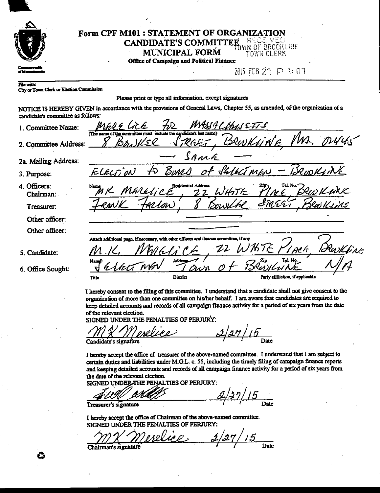|                   | Form CPF M101: STATEMENT OF ORGANIZATION<br><b>CANDIDATE'S COMMITTEE</b> RECEIVED<br><b>MUNICIPAL FORM</b><br><b>TOWN CLERK</b><br>Office of Campaign and Political Finance |
|-------------------|-----------------------------------------------------------------------------------------------------------------------------------------------------------------------------|
| af Mann           | 2015 FEB 27 P 1: 07                                                                                                                                                         |
| <b>File with:</b> | City or Town Clerk or Election Commission                                                                                                                                   |
|                   | Please print or type all information, except signatures                                                                                                                     |

| albuluale a <b>v</b> oimment |                                                                                                    |
|------------------------------|----------------------------------------------------------------------------------------------------|
| 1. Committee Name:           | MASSACHUS ETT-S<br>MERE Lick<br>(The name of the committee must include the candidate's last name) |
| 2. Committee Address:        | MI.<br>UINE<br>13RW h<br>Khti                                                                      |
| 2a. Mailing Address:         | SAME                                                                                               |
| 3. Purpose:                  | of Shlect men<br><u>Borrs</u><br>FLELTION                                                          |
| 4. Officers:<br>Chairman:    | Residential Address<br>MERRICE<br>WHOTE<br>7. 7                                                    |
| Treasurer:                   | rion                                                                                               |
| Other officer:               |                                                                                                    |
| Other officer:               |                                                                                                    |
|                              | Attach additional page, if necessary, with other officers and finance committee, if any            |
| 5. Candidate:                |                                                                                                    |
| 6. Office Sought:            | Addre<br>Namé <sup>s</sup><br>ウレパ                                                                  |
|                              | Party affiliation, if applicable<br>District<br>Title                                              |
|                              |                                                                                                    |

I hereby consent to the filing of this committee. I understand that a candidate shall not give consent to the organization of more than one committee on his/her behalf. I am aware that candidates are required to keep detailed accounts and records of all campaign finance activity for a period of six years from the date of the relevant election.

SIGNED UNDER THE PENALTIES OF PERJURY:

 $2/27/15$ Candidate's signature

I hereby accept the office of treasurer of the above-named committee. I understand that I am subject to certain duties and liabilities under M.G.L. c. 55, including the timely filing of campaign finance reports and keeping detailed accounts and records of all campaign finance activity for a period of six years from the date of the relevant election.

SIGNED UNDER THE PENALTIES OF PERJURY:

 $\frac{2}{37/15}$  $\overline{Date}$ Treasurer's signature

I hereby accept the office of Chairman of the above-named committee. SIGNED UNDER THE PENALTIES OF PERJURY:

Date

 $2.$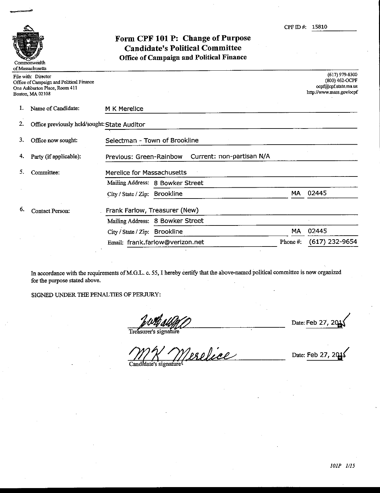

## Form CPF 101 P: Change of Purpose **Candidate's Political Committee** Office of Campaign and Political Finance

|    | File with: Director<br>Office of Campaign and Political Finance<br>One Ashburton Place, Room 411<br>Boston, MA 02108 |                                                      |          | $(617)$ 979-8300<br>(800) 462-OCPF<br>ocpf@cpf.state.ma.us<br>http://www.mass.gov/ocpf |
|----|----------------------------------------------------------------------------------------------------------------------|------------------------------------------------------|----------|----------------------------------------------------------------------------------------|
| ı. | Name of Candidate:                                                                                                   | M K Merelice                                         |          |                                                                                        |
| 2. | Office previously held/sought: State Auditor                                                                         |                                                      |          |                                                                                        |
| 3. | Office now sought:                                                                                                   | Selectman - Town of Brookline                        |          |                                                                                        |
| 4. | Party (if applicable):                                                                                               | Current: non-partisan N/A<br>Previous: Green-Rainbow |          |                                                                                        |
| 5. | Committee:                                                                                                           | Merelice for Massachusetts                           |          |                                                                                        |
|    |                                                                                                                      | Mailing Address: 8 Bowker Street                     |          |                                                                                        |
|    |                                                                                                                      | City / State / Zip: Brookline                        | МA       | 02445                                                                                  |
| 6. | <b>Contact Person:</b>                                                                                               | Frank Farlow, Treasurer (New)                        |          |                                                                                        |
|    |                                                                                                                      | Mailing Address: 8 Bowker Street                     |          |                                                                                        |
|    |                                                                                                                      | <b>Brookline</b><br>City / State / Zip:              | MA       | 02445                                                                                  |
|    |                                                                                                                      | Email: frank.farlow@verizon.net                      | Phone #: | $(617)$ 232-9654                                                                       |

In accordance with the requirements of M.G.L. c. 55, I hereby certify that the above-named political committee is now organized for the purpose stated above.

SIGNED UNDER THE PENALTIES OF PERJURY:

Date: Feb 27

Treasurer's signature

relice

Date: Feb 27

Candidate's signature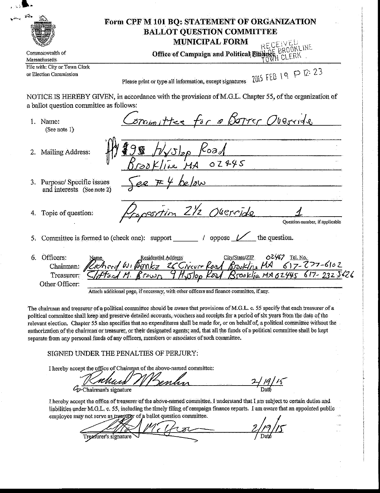|                                                          | <b>BALLOT QUESTION COMMITTEE</b><br><b>MUNICIPAL FORM</b><br>RECEIVED                                                                                                                                                                                                                        |
|----------------------------------------------------------|----------------------------------------------------------------------------------------------------------------------------------------------------------------------------------------------------------------------------------------------------------------------------------------------|
| Commonwealth of<br>Massachusetts                         | Office of Campaign and Political Binance BROOK                                                                                                                                                                                                                                               |
| File with: City or Town Clerk<br>or Election Commission  | 2015 FEB 19 P 12:23<br>Please print or type all information, except signatures                                                                                                                                                                                                               |
| a ballot question committee as follows:                  | NOTICE IS HEREBY GIVEN, in accordance with the provisions of M.G.L. Chapter 55, of the organization of                                                                                                                                                                                       |
| 1 Name:<br>(See note 1)                                  | oromittee for a potter Overvide                                                                                                                                                                                                                                                              |
| Mailing Address:                                         | Sp Koad<br>Le MA 02445                                                                                                                                                                                                                                                                       |
| 3. Purpose/Specific issues<br>and interests (See note 2) |                                                                                                                                                                                                                                                                                              |
| Topic of question:                                       | rtim 21/2 Override<br>Question number, if applicable                                                                                                                                                                                                                                         |
|                                                          | Committee is formed to (check one): support $\sqrt{\phantom{a}}$ / oppose $\sqrt{\phantom{a}}$ the question.                                                                                                                                                                                 |
| Officers:<br>6.<br>Treasurer:<br>Other Officer:          | 02467 Tel. No.<br>City/State/ZIP<br><b>Residential Address</b><br>Chairman: Richard W. Bonkz 26 Civeur Road Brooking MA<br>$617-277-6102$<br>9 Histor Road Brooklin MAG2445 617-2325626<br>້າເມດ<br>Attach additional page, if necessary, with other officers and finance committee, if any. |

political committee shall keep and preserve detailed accounts, vouchers and receipts for a period of six years from the date of the relevant election. Chapter 55 also specifies that no expenditures shall be made for, or on behalf of, a political committee without the authorization of the chairman or treasurer, or their designated agents; and, that all the funds of a political committee shall be kept separate from any personal funds of any officers, members or associates of such committee.

SIGNED UNDER THE PENALTIES OF PERJURY:

I hereby accept the office of Chairman of the above-named committee:

 $\frac{2}{\pi}$ /19/15 Cy-Chairman's signature

I hereby accept the office of treasurer of the above-named committee. I understand that I am subject to certain duties and liabilities under M.G.L. c. 55, including the timely filing of campaign finance reports. I am aware that an appointed public employee may not serve as treasurer of a ballot question committee.

Treasurer's signature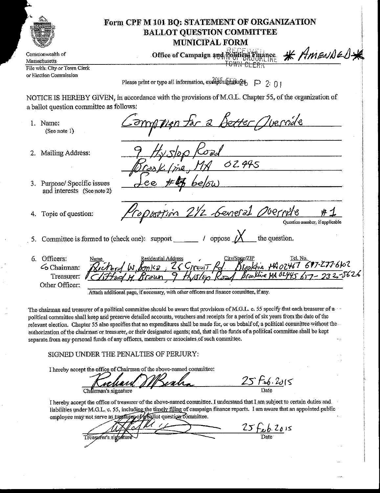

Commonwealth of Massachusetts File with: City or Town Clerk or Election Commission

## Form CPF M 101 BO: STATEMENT OF ORGANIZATION **BALLOT QUESTION COMMITTEE MUNICIPAL FORM**

Office of Campaign and Political mance

<del>OWN CLERK</del>

\* AMENDED\*

.,<br>∷

Please print or type all information, except signatures  $\Box$  2: 0

NOTICE IS HEREBY GIVEN, in accordance with the provisions of M.G.L. Chapter 55, of the organization of a ballot question committee as follows:

1. Name:  $(See note 1)$ 

2. Mailing Address:

- Detter Quernile 02445 21/2 Seneral Overnike Ouestion number, if applicable 5. Committee is formed to (check one): support  $\frac{\ }{\ }$  / oppose  $\cancel{X}$ the question.
- 3. Purpose/Specific issues and interests (See note 2)
- Topic of question: 4.
- 6. Officers: Kroskhe HA07467 677-277-6102 G Chairman: Treasurer: Other Officer:

Attach additional page, if necessary, with other officers and finance committee, if any.

The chairman and treasurer of a political committee should be aware that provisions of M.G.L. c. 55 specify that each treasurer of a political committee shall keep and preserve detailed accounts, vouchers and receipts for a period of six years from the date of the relevant election. Chapter 55 also specifies that no expenditures shall be made for, or on behalf of, a political committee without the authorization of the chairman or treasurer, or their designated agents, and, that all the funds of a political committee shall be kept separate from any personal funds of any officers, members or associates of such committee.

SIGNED UNDER THE PENALTIES OF PERJURY:

I hereby accept the office of Chairman of the above-named committee:

25 Feb. 2015 Chairman's signature

I hereby accept the office of treasurer of the above-named committee. I understand that I am subject to certain duties and liabilities under M.G.L. c. 55, including the timely filing of campaign finance reports. I am aware that an appointed public employee may not serve as treasurer of allot question committee.

25 Feb 2015 Treasurer's signatur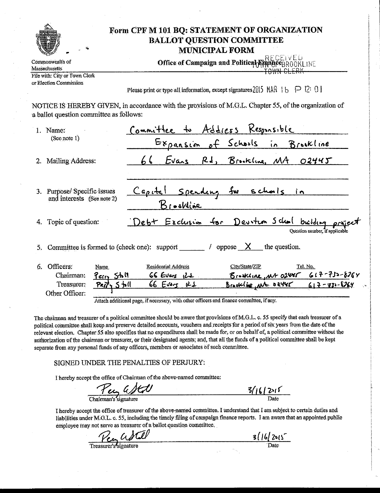|    |                                                                                         | Form CPF M 101 BQ: STATEMENT OF ORGANIZATION                                                           | <b>BALLOT QUESTION COMMITTEE</b><br><b>MUNICIPAL FORM</b>                                                  |                                |
|----|-----------------------------------------------------------------------------------------|--------------------------------------------------------------------------------------------------------|------------------------------------------------------------------------------------------------------------|--------------------------------|
|    | Commonwealth of                                                                         |                                                                                                        | RECEIVED<br>Office of Campaign and Political EmanceBROOKLINE                                               |                                |
|    | <b>Massachusetts</b><br>File with: City or Town Clerk                                   |                                                                                                        |                                                                                                            |                                |
|    | or Election Commission                                                                  |                                                                                                        | Please print or type all information, except signatures $2015$ MAR $16$ $\Box$ 2: 0                        |                                |
|    | a ballot question committee as follows:                                                 | NOTICE IS HEREBY GIVEN, in accordance with the provisions of M.G.L. Chapter 55, of the organization of |                                                                                                            |                                |
|    | 1. Name:                                                                                | Committee to Address Kesponsible                                                                       |                                                                                                            |                                |
|    | (See note I)                                                                            |                                                                                                        | Expansion of Schools in Brookline                                                                          |                                |
| 2. | <b>Mailing Address:</b>                                                                 | 66                                                                                                     | Evans Rd, Brookline, MA                                                                                    | 02445                          |
| 3. | Purpose/Specific issues<br>and interests (See note 2)                                   | Brookline                                                                                              | Capital spending for schools in                                                                            |                                |
| 4. | Topic of question:                                                                      |                                                                                                        | Debt Exclusion for Devition School building                                                                | Ouestion number, if applicable |
| 5. |                                                                                         | Committee is formed to (check one): support $\frac{\ }{}$ / oppose $\frac{\ }{ \ }$ the question.      |                                                                                                            |                                |
| 6. | Officers:<br>Name.<br>Chairman:<br>Perry Stall<br>Treasurer:<br>Peity<br>Other Officer: | <b>Residential Address</b><br>$66Evars$ $12E$<br>$66$ Evors<br>لمدعا<br>5 til                          | City/State/ZIP<br>Brookline, MA 02445 617-733-8264<br><u>Brookline, where <math>617 - 73 - 8764</math></u> | Tel. No.                       |

Attach additional page, if necessary, with other officers and finance committee, if any.

The chairman and treasurer of a political committee should be aware that provisions of M.G.L. c. 55 specify that each treasurer of a political committee shall keep and preserve detailed accounts, vouchers and receipts for a period of six years from the date of the relevant election. Chapter 55 also specifies that no expenditures shall be made for, or on behalf of, a political committee without the authorization of the chairman or treasurer, or their designated agents; and, that all the funds of a political committee shall be kept separate from any personal funds of any officers, members or associates of such committee.

#### SIGNED UNDER THE PENALTIES OF PERJURY:

I hereby accept the office of Chairman of the above-named committee:

Per a Stat

 $\frac{3/16/215}{\text{Date}}$ I hereby accept the office of treasurer of the above-named committee. I understand that I am subject to certain duties and

liabilities under M.G.L. c. 55, including the timely filing of campaign finance reports. I am aware that an appointed public employee may not serve as treasurer of a ballot question committee.

Treasurer's Signature

 $3/16/2015$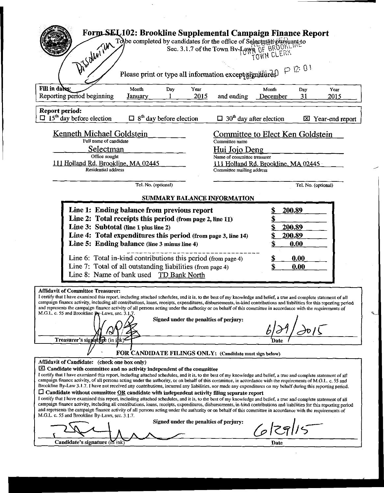| Form SEL102: Brookline Supplemental Campaign Finance Report<br>Dischwith                                                                                                                                                                                                                                                                                                                                                                                                                                                                                                                                                                                                                                                                                                                                                                                                                                                                                                                                                                                                                                                                                                                                                                                                                                                                                                                                                                                                     | To be completed by candidates for the office of Selectinal phisology sec. 3.1.7 of the Town By-Laws OF BROUN.<br>Please print or type all information except signallities $0 \in \mathbb{R}$ : $0 \in \mathbb{R}$ |  |  |  |  |  |
|------------------------------------------------------------------------------------------------------------------------------------------------------------------------------------------------------------------------------------------------------------------------------------------------------------------------------------------------------------------------------------------------------------------------------------------------------------------------------------------------------------------------------------------------------------------------------------------------------------------------------------------------------------------------------------------------------------------------------------------------------------------------------------------------------------------------------------------------------------------------------------------------------------------------------------------------------------------------------------------------------------------------------------------------------------------------------------------------------------------------------------------------------------------------------------------------------------------------------------------------------------------------------------------------------------------------------------------------------------------------------------------------------------------------------------------------------------------------------|-------------------------------------------------------------------------------------------------------------------------------------------------------------------------------------------------------------------|--|--|--|--|--|
| Fill in dates<br>Month<br>Day<br>Year<br>Reporting period beginning<br>2015<br>January                                                                                                                                                                                                                                                                                                                                                                                                                                                                                                                                                                                                                                                                                                                                                                                                                                                                                                                                                                                                                                                                                                                                                                                                                                                                                                                                                                                       | Month<br>Year<br>Day<br>and ending<br>31<br>December<br>2015                                                                                                                                                      |  |  |  |  |  |
| Report period:<br>$\Box$ 15 <sup>th</sup> day before election<br>$\Box$ 8 <sup>th</sup> day before election                                                                                                                                                                                                                                                                                                                                                                                                                                                                                                                                                                                                                                                                                                                                                                                                                                                                                                                                                                                                                                                                                                                                                                                                                                                                                                                                                                  | $\Box$ 30 <sup>th</sup> day after election<br>Year-end report                                                                                                                                                     |  |  |  |  |  |
| Kenneth Michael Goldstein<br>Committee to Elect Ken Goldstein<br>Full name of candidate<br>Committee name<br>Selectman<br>Hui Jojo Deng<br>Office sought<br>Name of committee treasurer<br>111 Holland Rd. Brookline, MA 02445<br>111 Holland Rd. Brookline, MA 02445<br>Residential address<br>Committee mailing address                                                                                                                                                                                                                                                                                                                                                                                                                                                                                                                                                                                                                                                                                                                                                                                                                                                                                                                                                                                                                                                                                                                                                    |                                                                                                                                                                                                                   |  |  |  |  |  |
| Tel. No. (optional)                                                                                                                                                                                                                                                                                                                                                                                                                                                                                                                                                                                                                                                                                                                                                                                                                                                                                                                                                                                                                                                                                                                                                                                                                                                                                                                                                                                                                                                          | Tel. No. (optional)                                                                                                                                                                                               |  |  |  |  |  |
| Line 1: Ending balance from previous report<br>Line 2: Total receipts this period (from page 2, line 11)<br>Line 3: Subtotal (line 1 plus line 2)<br>Line 4: Total expenditures this period (from page 3, line 14)<br>Line 5: Ending balance (line 3 minus line 4)<br>Line 6: Total in-kind contributions this period (from page 4)<br>Line 7: Total of all outstanding liabilities (from page 4)<br>Line 8: Name of bank used TD Bank North                                                                                                                                                                                                                                                                                                                                                                                                                                                                                                                                                                                                                                                                                                                                                                                                                                                                                                                                                                                                                                 | 200.89<br>200.89<br>200.89<br>0.00<br>0.00<br>\$<br>\$<br>0.00                                                                                                                                                    |  |  |  |  |  |
| <b>Affidavit of Committee Treasurer:</b><br>I certify that I have examined this report, including attached schedules, and it is, to the best of my knowledge and belief, a true and complete statement of all<br>campaign finance activity, including all contributions, loans, receipts, expenditures, disbursements, in-kind contributions and liabilities for this reporting period<br>and represents the campaign finance activity of all persons acting under the authority or on behalf of this committee in accordance with the requirements of<br>M.G.L. c. 55 and Brookline Dy-Laws, sec. 3.1.7.<br>Signed under the penalties of perjury:<br>Treasurer's signature (in ihk<br>Date                                                                                                                                                                                                                                                                                                                                                                                                                                                                                                                                                                                                                                                                                                                                                                                 |                                                                                                                                                                                                                   |  |  |  |  |  |
| FOR CANDIDATE FILINGS ONLY: (Candidate must sign below)<br>Affidavit of Candidate: (check one box only)<br>$\boxtimes$ Candidate with committee and no activity independent of the committee<br>I certify that I have examined this report, including attached schedules, and it is, to the best of my knowledge and belief, a true and complete statement of all<br>campaign finance activity, of all persons acting under the authority, or on behalf of this committee, in accordance with the requirements of M.G.L. c. 55 and<br>Brookline By-Law 3.1.7. I have not received any contributions, incurred any liabilities, nor made any expenditures on my behalf during this reporting period.<br>$\Box$ Candidate without committee OR candidate with independent activity filing separate report<br>I certify that I have examined this report, including attached schedules, and it is, to the best of my knowledge and belief, a true and complete statement of all<br>campaign finance activity, including all contributions, loans, receipts, expenditures, disbursements, in-kind contributions and liabilities for this reporting period<br>and represents the campaign finance activity of all persons acting under the authority or on behalf of this committee in accordance with the requirements of<br>M.G.L. c. 55 and Brookline By-Laws, sec. 3.1.7.<br>Signed under the penalties of perjury:<br>$6$ $ 29 $ 15<br>Candidate's signature (in ink<br>Date |                                                                                                                                                                                                                   |  |  |  |  |  |

 $\mathcal{A}^{\mathcal{A}}$ 

 $\mathcal{L}(\mathcal{S})$  .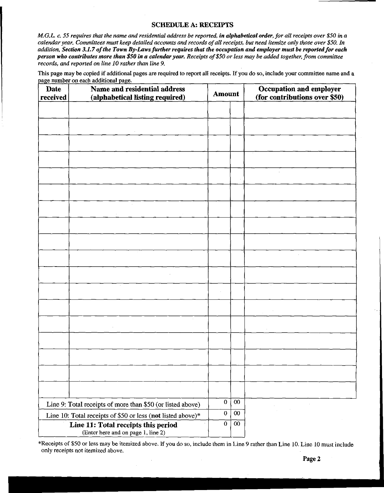### **SCHEDULE A: RECEIPTS**

M.G.L. c. 55 requires that the name and residential address be reported, in alphabetical order, for all receipts over \$50 in a calendar year. Committees must keep detailed accounts and records of all receipts, but need itemize only those over \$50. In addition, Section 3.1.7 of the Town By-Laws further requires that the occupation and employer must be reported for each person who contributes more than \$50 in a calendar year. Receipts of \$50 or less may be added together, from committee records, and reported on line 10 rather than line 9.

This page may be copied if additional pages are required to report all receipts. If you do so, include your committee name and a page number on each additional page.

| Date<br>received                                                             | Name and residential address<br>(alphabetical listing required) |                             | <b>Amount</b>   | Occupation and employer<br>(for contributions over \$50)                                       |  |
|------------------------------------------------------------------------------|-----------------------------------------------------------------|-----------------------------|-----------------|------------------------------------------------------------------------------------------------|--|
|                                                                              |                                                                 |                             |                 |                                                                                                |  |
|                                                                              |                                                                 |                             |                 |                                                                                                |  |
|                                                                              |                                                                 |                             |                 |                                                                                                |  |
|                                                                              |                                                                 |                             |                 |                                                                                                |  |
|                                                                              |                                                                 |                             |                 |                                                                                                |  |
|                                                                              |                                                                 |                             |                 | $\hat{\mathbf{r}}$                                                                             |  |
|                                                                              |                                                                 |                             |                 |                                                                                                |  |
|                                                                              |                                                                 |                             |                 |                                                                                                |  |
|                                                                              |                                                                 |                             |                 |                                                                                                |  |
|                                                                              |                                                                 |                             |                 |                                                                                                |  |
|                                                                              |                                                                 |                             |                 |                                                                                                |  |
|                                                                              |                                                                 |                             |                 |                                                                                                |  |
|                                                                              |                                                                 |                             |                 |                                                                                                |  |
|                                                                              |                                                                 |                             |                 |                                                                                                |  |
|                                                                              |                                                                 |                             |                 |                                                                                                |  |
|                                                                              |                                                                 |                             |                 | $\sim$                                                                                         |  |
|                                                                              |                                                                 |                             |                 |                                                                                                |  |
|                                                                              |                                                                 |                             |                 |                                                                                                |  |
|                                                                              |                                                                 |                             |                 |                                                                                                |  |
|                                                                              |                                                                 |                             |                 |                                                                                                |  |
|                                                                              |                                                                 |                             |                 |                                                                                                |  |
|                                                                              | Line 9: Total receipts of more than \$50 (or listed above)      | $\bf{0}$                    | $00\,$          | $\sim$                                                                                         |  |
|                                                                              | Line 10: Total receipts of \$50 or less (not listed above)*     | $\pmb{0}$<br>$\overline{0}$ | $00\,$          | $\frac{1}{2} \int_{\mathbb{R}^3} \left  \frac{d\mathbf{x}}{d\mathbf{x}} \right ^2 d\mathbf{x}$ |  |
| Line 11: Total receipts this period<br>(Enter here and on page 1, line $2$ ) |                                                                 |                             | 00 <sub>o</sub> |                                                                                                |  |

\*Receipts of \$50 or less may be itemized above. If you do so, include them in Line 9 rather than Line 10. Line 10 must include only receipts not itemized above.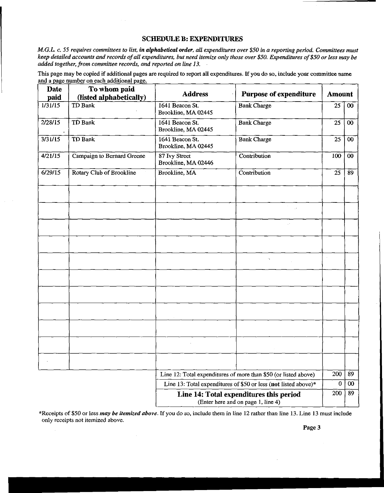### **SCHEDULE B: EXPENDITURES**

M.G.L. c. 55 requires committees to list, in alphabetical order, all expenditures over \$50 in a reporting period. Committees must keep detailed accounts and records of all expenditures, but need itemize only those over \$50. Expenditures of \$50 or less may be added together, from committee records, and reported on line 13.

This page may be copied if additional pages are required to report all expenditures. If you do so, include your committee name and a page number on each additional page.

| <b>Date</b><br>paid                                             | To whom paid<br>(listed alphabetically) | <b>Address</b><br><b>Purpose of expenditure</b>                 |                                                                               | <b>Amount</b>    |        |
|-----------------------------------------------------------------|-----------------------------------------|-----------------------------------------------------------------|-------------------------------------------------------------------------------|------------------|--------|
| 1/31/15                                                         | TD Bank                                 | 1641 Beacon St.<br>Brookline, MA 02445                          | <b>Bank Charge</b>                                                            | 25               | $00\,$ |
| 2/28/15                                                         | TD Bank                                 | 1641 Beacon St.<br>Brookline, MA 02445                          | <b>Bank Charge</b>                                                            | 25               | $00\,$ |
| 3/31/15                                                         | TD Bank                                 | 1641 Beacon St.<br>Brookline, MA 02445                          | <b>Bank Charge</b>                                                            | 25               | 00     |
| 4/21/15                                                         | Campaign to Bernard Greene              | 87 Ivy Street<br>Brookline, MA 02446                            | Contribution                                                                  | 100              | $00\,$ |
| 6/29/15                                                         | Rotary Club of Brookline                | Brookline, MA                                                   | Contribution                                                                  | 25               | 89     |
|                                                                 |                                         |                                                                 |                                                                               |                  |        |
|                                                                 |                                         |                                                                 |                                                                               |                  |        |
|                                                                 |                                         |                                                                 |                                                                               |                  |        |
|                                                                 |                                         |                                                                 |                                                                               |                  |        |
|                                                                 |                                         |                                                                 |                                                                               |                  |        |
|                                                                 |                                         |                                                                 |                                                                               |                  |        |
|                                                                 |                                         |                                                                 |                                                                               |                  |        |
|                                                                 |                                         |                                                                 |                                                                               |                  |        |
|                                                                 |                                         |                                                                 |                                                                               |                  |        |
|                                                                 |                                         |                                                                 |                                                                               |                  |        |
|                                                                 |                                         |                                                                 |                                                                               |                  |        |
| Line 12: Total expenditures of more than \$50 (or listed above) |                                         | 200                                                             | 89                                                                            |                  |        |
|                                                                 |                                         | Line 13: Total expenditures of \$50 or less (not listed above)* |                                                                               | $\boldsymbol{0}$ | $00\,$ |
|                                                                 |                                         |                                                                 | Line 14: Total expenditures this period<br>(Enter here and on page 1, line 4) | 200              | 89     |

\*Receipts of \$50 or less may be itemized above. If you do so, include them in line 12 rather than line 13. Line 13 must include only receipts not itemized above.

Page 3